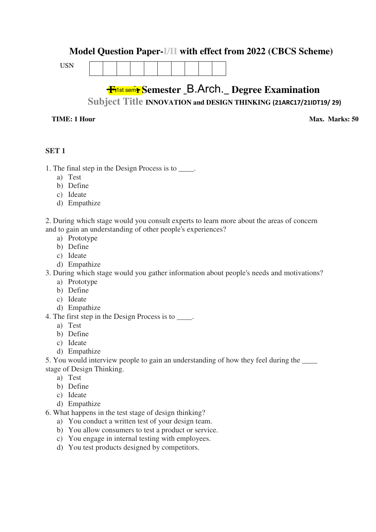## **Model Question Paper-I/II with effect from 2022 (CBCS Scheme)**

USN



# <del>Filst sem<mark>r</mark> S</del>emester \_B.Arch.\_ Degree Examination

**Subject Title INNOVATION and DESIGN THINKING (21ARC17/21IDT19/ 29)**

#### **TIME: 1 Hour**

**Max. Marks: 50** 

#### **SET 1**

- 1. The final step in the Design Process is to \_\_\_\_.
	- a) Test
	- b) Define
	- c) Ideate
	- d) Empathize

2. During which stage would you consult experts to learn more about the areas of concern and to gain an understanding of other people's experiences?

- a) Prototype
- b) Define
- c) Ideate
- d) Empathize

3. During which stage would you gather information about people's needs and motivations?

- a) Prototype
- b) Define
- c) Ideate
- d) Empathize
- 4. The first step in the Design Process is to  $\blacksquare$ .
	- a) Test
	- b) Define
	- c) Ideate
	- d) Empathize

5. You would interview people to gain an understanding of how they feel during the stage of Design Thinking.

- a) Test
- b) Define
- c) Ideate
- d) Empathize

6. What happens in the test stage of design thinking?

- a) You conduct a written test of your design team.
- b) You allow consumers to test a product or service.
- c) You engage in internal testing with employees.
- d) You test products designed by competitors.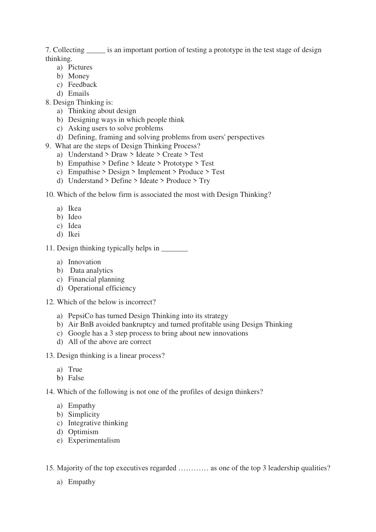7. Collecting is an important portion of testing a prototype in the test stage of design thinking.

- a) Pictures
- b) Money
- c) Feedback
- d) Emails
- 8. Design Thinking is:
	- a) Thinking about design
	- b) Designing ways in which people think
	- c) Asking users to solve problems
	- d) Defining, framing and solving problems from users' perspectives
- 9. What are the steps of Design Thinking Process?
	- a) Understand > Draw > Ideate > Create > Test
	- b) Empathise > Define > Ideate > Prototype > Test
	- c) Empathise > Design > Implement > Produce > Test
	- d) Understand > Define > Ideate > Produce > Try
- 10. Which of the below firm is associated the most with Design Thinking?
	- a) Ikea
	- b) Ideo
	- c) Idea
	- d) Ikei

11. Design thinking typically helps in \_\_\_\_\_\_\_

- a) Innovation
- b) Data analytics
- c) Financial planning
- d) Operational efficiency
- 12. Which of the below is incorrect?
	- a) PepsiCo has turned Design Thinking into its strategy
	- b) Air BnB avoided bankruptcy and turned profitable using Design Thinking
	- c) Google has a 3 step process to bring about new innovations
	- d) All of the above are correct
- 13. Design thinking is a linear process?
	- a) True
	- b) False

14. Which of the following is not one of the profiles of design thinkers?

- a) Empathy
- b) Simplicity
- c) Integrative thinking
- d) Optimism
- e) Experimentalism
- 15. Majority of the top executives regarded ………… as one of the top 3 leadership qualities?
	- a) Empathy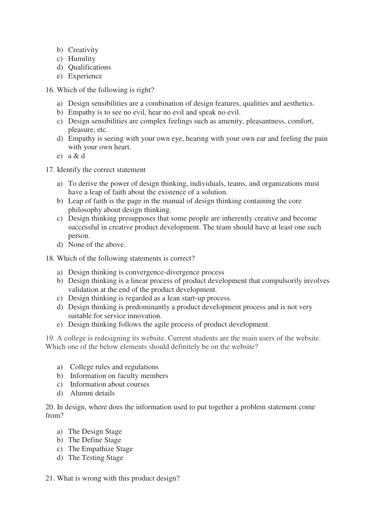- b) Creativity
- c) Humility
- d) Qualifications
- e) Experience
- 16. Which of the following is right?
	- a) Design sensibilities are a combination of design features, qualities and aesthetics.
	- b) Empathy is to see no evil, hear no evil and speak no evil.
	- c) Design sensibilities are complex feelings such as amenity, pleasantness, comfort, pleasure, etc.
	- d) Empathy is seeing with your own eye, hearing with your own ear and feeling the pain with your own heart.
	- e) a & d

17. Identify the correct statement

- a) To derive the power of design thinking, individuals, teams, and organizations must have a leap of faith about the existence of a solution.
- b) Leap of faith is the page in the manual of design thinking containing the core philosophy about design thinking.
- c) Design thinking presupposes that some people are inherently creative and become successful in creative product development. The team should have at least one such person.
- d) None of the above.
- 18. Which of the following statements is correct?
	- a) Design thinking is convergence-divergence process
	- b) Design thinking is a linear process of product development that compulsorily involves validation at the end of the product development.
	- c) Design thinking is regarded as a lean start-up process.
	- d) Design thinking is predominantly a product development process and is not very suitable for service innovation.
	- e) Design thinking follows the agile process of product development.

19. A college is redesigning its website. Current students are the main users of the website. Which one of the below elements should definitely be on the website?

- a) College rules and regulations
- b) Information on faculty members
- c) Information about courses
- d) Alumni details

20. In design, where does the information used to put together a problem statement come from?

- a) The Design Stage
- b) The Define Stage
- c) The Empathize Stage
- d) The Testing Stage
- 21. What is wrong with this product design?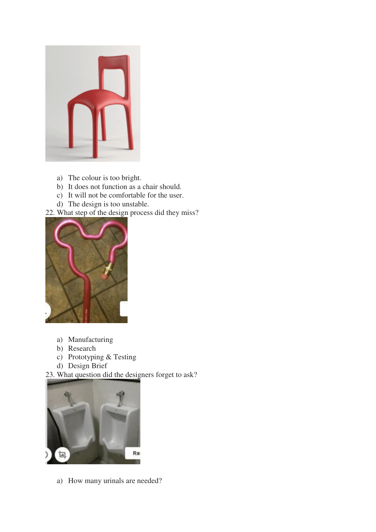

- a) The colour is too bright.
- b) It does not function as a chair should.
- c) It will not be comfortable for the user.
- d) The design is too unstable.
- 22. What step of the design process did they miss?



- a) Manufacturing
- b) Research
- c) Prototyping & Testing
- d) Design Brief

23. What question did the designers forget to ask?



a) How many urinals are needed?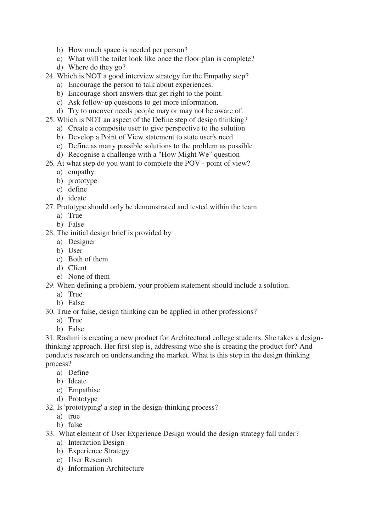- b) How much space is needed per person?
- c) What will the toilet look like once the floor plan is complete?
- d) Where do they go?
- 24. Which is NOT a good interview strategy for the Empathy step?
	- a) Encourage the person to talk about experiences.
	- b) Encourage short answers that get right to the point.
	- c) Ask follow-up questions to get more information.
	- d) Try to uncover needs people may or may not be aware of.
- 25. Which is NOT an aspect of the Define step of design thinking?
	- a) Create a composite user to give perspective to the solution
	- b) Develop a Point of View statement to state user's need
	- c) Define as many possible solutions to the problem as possible
	- d) Recognise a challenge with a "How Might We" question
- 26. At what step do you want to complete the POV point of view?
	- a) empathy
	- b) prototype
	- c) define
	- d) ideate
- 27. Prototype should only be demonstrated and tested within the team
	- a) True
	- b) False
- 28. The initial design brief is provided by
	- a) Designer
	- b) User
	- c) Both of them
	- d) Client
	- e) None of them
- 29. When defining a problem, your problem statement should include a solution.
	- a) True
	- b) False
- 30. True or false, design thinking can be applied in other professions?
	- a) True
	- b) False

31. Rashmi is creating a new product for Architectural college students. She takes a designthinking approach. Her first step is, addressing who she is creating the product for? And conducts research on understanding the market. What is this step in the design thinking process?

- a) Define
- b) Ideate
- c) Empathise
- d) Prototype
- 32. Is 'prototyping' a step in the design-thinking process?
	- a) true
	- b) false
- 33. What element of User Experience Design would the design strategy fall under?
	- a) Interaction Design
	- b) Experience Strategy
	- c) User Research
	- d) Information Architecture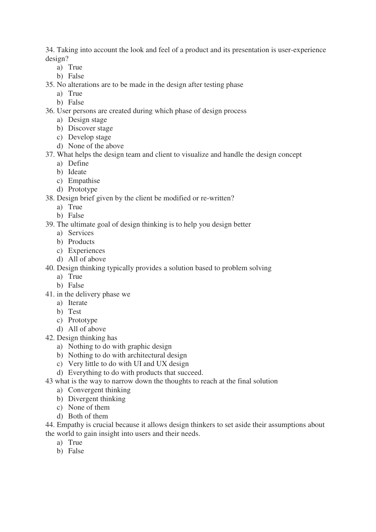34. Taking into account the look and feel of a product and its presentation is user-experience design?

- a) True
- b) False

35. No alterations are to be made in the design after testing phase

- a) True
- b) False

36. User persons are created during which phase of design process

- a) Design stage
- b) Discover stage
- c) Develop stage
- d) None of the above
- 37. What helps the design team and client to visualize and handle the design concept
	- a) Define
	- b) Ideate
	- c) Empathise
	- d) Prototype
- 38. Design brief given by the client be modified or re-written?
	- a) True
	- b) False
- 39. The ultimate goal of design thinking is to help you design better
	- a) Services
	- b) Products
	- c) Experiences
	- d) All of above

40. Design thinking typically provides a solution based to problem solving

- a) True
- b) False
- 41. in the delivery phase we
	- a) Iterate
	- b) Test
	- c) Prototype
	- d) All of above
- 42. Design thinking has
	- a) Nothing to do with graphic design
	- b) Nothing to do with architectural design
	- c) Very little to do with UI and UX design
	- d) Everything to do with products that succeed.
- 43 what is the way to narrow down the thoughts to reach at the final solution
	- a) Convergent thinking
	- b) Divergent thinking
	- c) None of them
	- d) Both of them

44. Empathy is crucial because it allows design thinkers to set aside their assumptions about the world to gain insight into users and their needs.

- a) True
- b) False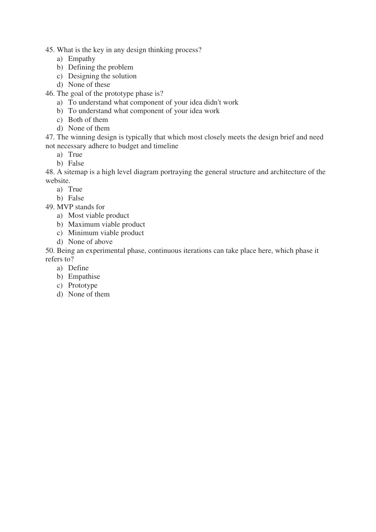- 45. What is the key in any design thinking process?
	- a) Empathy
	- b) Defining the problem
	- c) Designing the solution
	- d) None of these
- 46. The goal of the prototype phase is?
	- a) To understand what component of your idea didn't work
	- b) To understand what component of your idea work
	- c) Both of them
	- d) None of them

47. The winning design is typically that which most closely meets the design brief and need not necessary adhere to budget and timeline

- a) True
- b) False

48. A sitemap is a high level diagram portraying the general structure and architecture of the website.

- a) True
- b) False
- 49. MVP stands for
	- a) Most viable product
	- b) Maximum viable product
	- c) Minimum viable product
	- d) None of above

50. Being an experimental phase, continuous iterations can take place here, which phase it refers to?

- a) Define
- b) Empathise
- c) Prototype
- d) None of them